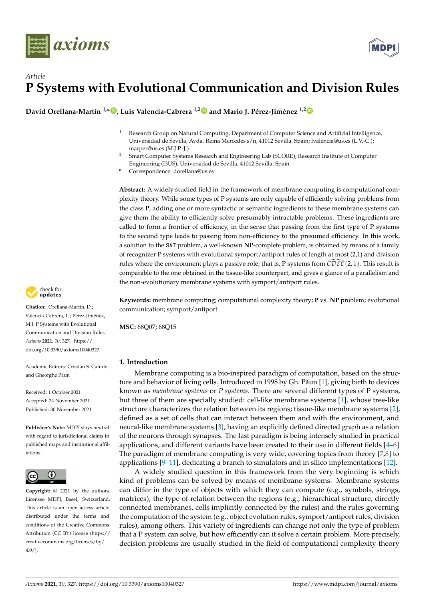

# *Article* **P Systems with Evolutional Communication and Division Rules**

**David Orellana-Martín 1,\* [,](https://orcid.org/0000-0002-2892-6775) Luis Valencia-Cabrera 1,[2](https://orcid.org/0000-0002-6576-9529) and Mario J. Pérez-Jiménez 1,[2](https://orcid.org/0000-0002-5055-0102)**

- <sup>1</sup> Research Group on Natural Computing, Department of Computer Science and Artificial Intelligence, Universidad de Sevilla, Avda. Reina Mercedes s/n, 41012 Sevilla, Spain; lvalencia@us.es (L.V.-C.); marper@us.es (M.J.P.-J.)
- <sup>2</sup> Smart Computer Systems Research and Engineering Lab (SCORE), Research Institute of Computer Engineering (I3US), Universidad de Sevilla, 41012 Sevilla, Spain
- **\*** Correspondence: dorellana@us.es

**Abstract:** A widely studied field in the framework of membrane computing is computational complexity theory. While some types of P systems are only capable of efficiently solving problems from the class **P**, adding one or more syntactic or semantic ingredients to these membrane systems can give them the ability to efficiently solve presumably intractable problems. These ingredients are called to form a frontier of efficiency, in the sense that passing from the first type of P systems to the second type leads to passing from non-efficiency to the presumed efficiency. In this work, a solution to the SAT problem, a well-known **NP**-complete problem, is obtained by means of a family of recognizer P systems with evolutional symport/antiport rules of length at most (2,1) and division rules where the environment plays a passive role; that is, P systems from  $\mathcal{CDEC}(2, 1)$ . This result is comparable to the one obtained in the tissue-like counterpart, and gives a glance of a parallelism and the non-evolutionary membrane systems with symport/antiport rules.

**Keywords:** membrane computing; computational complexity theory; **P** vs. **NP** problem; evolutional communication; symport/antiport

**MSC:** 68Q07; 68Q15

# **1. Introduction**

Membrane computing is a bio-inspired paradigm of computation, based on the struc-ture and behavior of living cells. Introduced in 1998 by Gh. Păun [\[1\]](#page-10-0), giving birth to devices known as *membrane systems* or *P systems*. There are several different types of P systems, but three of them are specially studied: cell-like membrane systems [\[1\]](#page-10-0), whose tree-like structure characterizes the relation between its regions; tissue-like membrane systems [\[2\]](#page-10-1), defined as a set of cells that can interact between them and with the environment, and neural-like membrane systems [\[3\]](#page-10-2), having an explicitly defined directed graph as a relation of the neurons through synapses. The last paradigm is being intensely studied in practical applications, and different variants have been created to their use in different fields [\[4–](#page-10-3)[6\]](#page-10-4) The paradigm of membrane computing is very wide, covering topics from theory [\[7,](#page-10-5)[8\]](#page-10-6) to applications [\[9–](#page-10-7)[11\]](#page-10-8), dedicating a branch to simulators and in silico implementations [\[12\]](#page-10-9).

A widely studied question in this framework from the very beginning is which kind of problems can be solved by means of membrane systems. Membrane systems can differ in the type of objects with which they can compute (e.g., symbols, strings, matrices), the type of relation between the regions (e.g., hierarchical structure, directly connected membranes, cells implicitly connected by the rules) and the rules governing the computation of the system (e.g., object evolution rules, symport/antiport rules, division rules), among others. This variety of ingredients can change not only the type of problem that a P system can solve, but how efficiently can it solve a certain problem. More precisely, decision problems are usually studied in the field of computational complexity theory



**Citation:** Orellana-Martín, D.; Valencia-Cabrera, L.; Pérez-Jiménez, M.J. P Systems with Evolutional Communication and Division Rules. *Axioms* **2021**, *10*, 327. [https://](https://doi.org/10.3390/axioms10040327) [doi.org/10.3390/axioms10040327](https://doi.org/10.3390/axioms10040327)

Academic Editors: Cristian S. Calude and Gheorghe Păun

Received: 1 October 2021 Accepted: 24 November 2021 Published: 30 November 2021

**Publisher's Note:** MDPI stays neutral with regard to jurisdictional claims in published maps and institutional affiliations.



**Copyright:** © 2021 by the authors. Licensee MDPI, Basel, Switzerland. This article is an open access article distributed under the terms and conditions of the Creative Commons Attribution (CC BY) license (https:/[/](https://creativecommons.org/licenses/by/4.0/) [creativecommons.org/licenses/by/](https://creativecommons.org/licenses/by/4.0/)  $4.0/$ ).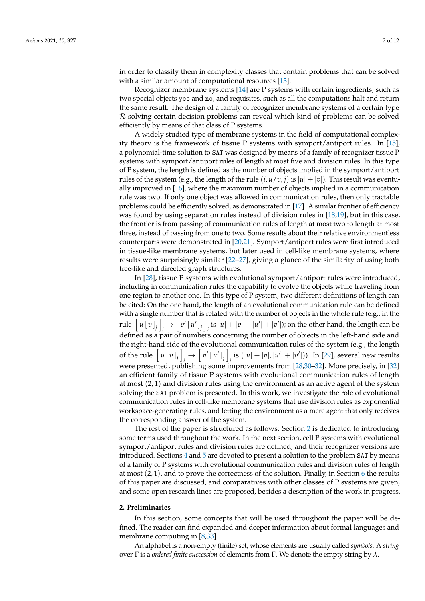in order to classify them in complexity classes that contain problems that can be solved with a similar amount of computational resources [\[13\]](#page-10-10).

Recognizer membrane systems [\[14\]](#page-11-0) are P systems with certain ingredients, such as two special objects yes and no, and requisites, such as all the computations halt and return the same result. The design of a family of recognizer membrane systems of a certain type  $R$  solving certain decision problems can reveal which kind of problems can be solved efficiently by means of that class of P systems.

A widely studied type of membrane systems in the field of computational complexity theory is the framework of tissue P systems with symport/antiport rules. In [\[15\]](#page-11-1), a polynomial-time solution to SAT was designed by means of a family of recognizer tissue P systems with symport/antiport rules of length at most five and division rules. In this type of P system, the length is defined as the number of objects implied in the symport/antiport rules of the system (e.g., the length of the rule  $(i, u/v, j)$  is  $|u| + |v|$ ). This result was eventually improved in [\[16\]](#page-11-2), where the maximum number of objects implied in a communication rule was two. If only one object was allowed in communication rules, then only tractable problems could be efficiently solved, as demonstrated in [\[17\]](#page-11-3). A similar frontier of efficiency was found by using separation rules instead of division rules in [\[18,](#page-11-4)[19\]](#page-11-5), but in this case, the frontier is from passing of communication rules of length at most two to length at most three, instead of passing from one to two. Some results about their relative environmentless counterparts were demonstrated in [\[20](#page-11-6)[,21\]](#page-11-7). Symport/antiport rules were first introduced in tissue-like membrane systems, but later used in cell-like membrane systems, where results were surprisingly similar [\[22–](#page-11-8)[27\]](#page-11-9), giving a glance of the similarity of using both tree-like and directed graph structures.

In [\[28\]](#page-11-10), tissue P systems with evolutional symport/antiport rules were introduced, including in communication rules the capability to evolve the objects while traveling from one region to another one. In this type of P system, two different definitions of length can be cited: On the one hand, the length of an evolutional communication rule can be defined with a single number that is related with the number of objects in the whole rule (e.g., in the rule  $\left[ u \left[ v \right]_j \right]$  $\psi_i \to \left[ \left[ \left[ u' \right]_j \right] \right]$ *i*<sub>i</sub> is  $|u| + |v| + |u'| + |v'|$ ; on the other hand, the length can be defined as a pair of numbers concerning the number of objects in the left-hand side and the right-hand side of the evolutional communication rules of the system (e.g., the length of the rule  $\left[ u \left[ v \right]_j \right]$  $\psi$ <sup>*i*</sup>  $[v']$ <sub>*j*</sub><sup>*]*</sup> *i*<sub>i</sub> is  $(|u| + |v|, |u'| + |v'|)$ ). In [\[29\]](#page-11-11), several new results were presented, publishing some improvements from [\[28](#page-11-10)[,30](#page-11-12)[–32\]](#page-11-13). More precisely, in [\[32\]](#page-11-13) an efficient family of tissue P systems with evolutional communication rules of length at most (2, 1) and division rules using the environment as an active agent of the system solving the SAT problem is presented. In this work, we investigate the role of evolutional communication rules in cell-like membrane systems that use division rules as exponential workspace-generating rules, and letting the environment as a mere agent that only receives the corresponding answer of the system.

The rest of the paper is structured as follows: Section [2](#page-1-0) is dedicated to introducing some terms used throughout the work. In the next section, cell P systems with evolutional symport/antiport rules and division rules are defined, and their recognizer versions are introduced. Sections [4](#page-5-0) and [5](#page-9-0) are devoted to present a solution to the problem SAT by means of a family of P systems with evolutional communication rules and division rules of length at most  $(2, 1)$ , and to prove the correctness of the solution. Finally, in Section [6](#page-9-1) the results of this paper are discussed, and comparatives with other classes of P systems are given, and some open research lines are proposed, besides a description of the work in progress.

#### <span id="page-1-0"></span>**2. Preliminaries**

In this section, some concepts that will be used throughout the paper will be defined. The reader can find expanded and deeper information about formal languages and membrane computing in [\[8,](#page-10-6)[33\]](#page-11-14).

An alphabet is a non-empty (finite) set, whose elements are usually called *symbols*. A *string* over Γ is a *ordered finite succession* of elements from Γ. We denote the empty string by *λ*.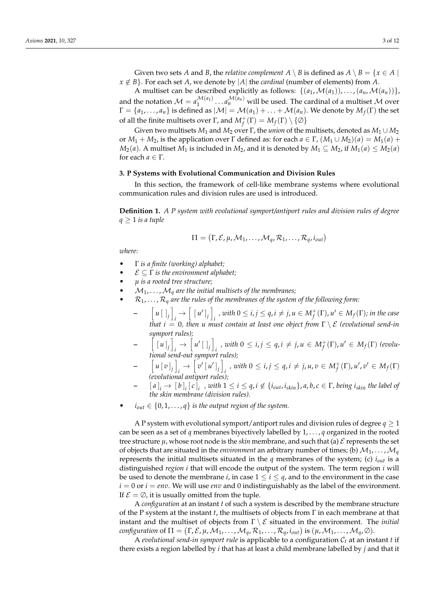Given two sets *A* and *B*, the *relative complement*  $A \setminus B$  is defined as  $A \setminus B = \{x \in A \mid$  $x \notin B$ . For each set *A*, we denote by |*A*| the *cardinal* (number of elements) from *A*.

A multiset can be described explicitly as follows:  $\{(a_1, \mathcal{M}(a_1)), \ldots, (a_n, \mathcal{M}(a_n))\}$ , and the notation  $\mathcal{M} = a_1^{\mathcal{M}(a_1)}$  $\mathcal{M}(a_1)$  ...  $a_n^{\mathcal{M}(a_n)}$  will be used. The cardinal of a multiset  $\mathcal M$  over  $\Gamma=\{a_1,\ldots,a_n\}$  is defined as  $|\mathcal{M}|=\mathcal{M}(a_1)+\ldots+\mathcal{M}(a_n).$  We denote by  $M_f(\Gamma)$  the set of all the finite multisets over  $\Gamma$ , and  $M_f^+(\Gamma) = M_f(\Gamma) \setminus \{\emptyset\}$ 

Given two multisets *M*<sup>1</sup> and *M*<sup>2</sup> over Γ, the *union* of the multisets, denoted as *M*<sup>1</sup> ∪ *M*<sup>2</sup> or *M*<sup>1</sup> + *M*2, is the application over Γ defined as: for each *a* ∈ Γ, (*M*<sup>1</sup> ∪ *M*2)(*a*) = *M*1(*a*) + *M*<sub>2</sub>(*a*). A multiset *M*<sub>1</sub> is included in *M*<sub>2</sub>, and it is denoted by *M*<sub>1</sub> ⊆ *M*<sub>2</sub>, if *M*<sub>1</sub>(*a*) ≤ *M*<sub>2</sub>(*a*) for each  $a \in \Gamma$ .

#### **3. P Systems with Evolutional Communication and Division Rules**

In this section, the framework of cell-like membrane systems where evolutional communication rules and division rules are used is introduced.

**Definition 1.** *A P system with evolutional symport/antiport rules and division rules of degree*  $q \geq 1$  *is a tuple* 

$$
\Pi = (\Gamma, \mathcal{E}, \mu, \mathcal{M}_1, \ldots, \mathcal{M}_q, \mathcal{R}_1, \ldots, \mathcal{R}_q, i_{out})
$$

*where:*

- Γ *is a finite (working) alphabet;*
- $\mathcal{E} \subseteq \Gamma$  *is the environment alphabet*;
- *µ is a rooted tree structure;*
- $\mathcal{M}_1, \ldots, \mathcal{M}_q$  are the initial multisets of the membranes;
- $\mathcal{R}_1, \ldots, \mathcal{R}_q$  are the rules of the membranes of the system of the following form:
	- **–**  $\left[ u \left[ \ \right]_j \right]$  $\frac{1}{i}$   $\rightarrow$   $\left[ \begin{array}{c} [u']_j \end{array} \right]$  $\hat{a}$ , *with*  $0 \le i, j \le q$ ,  $i \ne j$ ,  $u \in M_f^+(\Gamma)$ ,  $u' \in M_f(\Gamma)$ ; in the case *that*  $i = 0$ , *then u must contain at least one object from*  $\Gamma \setminus \mathcal{E}$  *(evolutional send-in*) *symport rules);*
	- **–**  $\left[ \begin{array}{c} [u]_j \end{array} \right]$  $\frac{1}{i}$   $\rightarrow$   $\left[ u' \left[ \begin{array}{c} 1 \\ 1 \end{array} \right]$  $\mathbf{a}_i$ , with  $0 \leq i, j \leq q, i \neq j, u \in M_f^+(\Gamma), u' \in M_f(\Gamma)$  (evolu*tional send-out symport rules);*
	- **–**  $\left[ u \left[ v \right]_j \right]$  $\psi_i \rightarrow \left[ \left[ v' \left[ u' \right]_j \right] \right]$  $i$ , *with*  $0 \le i, j \le q, i \ne j, u, v \in M_f^+(\Gamma), u', v' \in M_f(\Gamma)$ *(evolutional antiport rules);*
	- $[a]_i \rightarrow [b]_i[c]_i$ , with  $1 \leq i \leq q$ ,  $i \notin \{i_{out}, i_{skin}\}$ ,  $a, b, c \in \Gamma$ , being  $i_{skin}$  the label of *the skin membrane (division rules).*
- $i_{out} \in \{0, 1, \ldots, q\}$  *is the output region of the system.*

A P system with evolutional symport/antiport rules and division rules of degree  $q \geq 1$ can be seen as a set of *q* membranes biyectively labelled by  $1, \ldots, q$  organized in the rooted tree structure  $\mu$ , whose root node is the *skin* membrane, and such that (a)  $\mathcal E$  represents the set of objects that are situated in the *environment* an arbitrary number of times; (b)  $\mathcal{M}_1, \ldots, \mathcal{M}_q$ represents the initial multisets situated in the *q* membranes of the system; (c) *iout* is a distinguished *region i* that will encode the output of the system. The term region *i* will be used to denote the membrane *i*, in case  $1 \le i \le q$ , and to the environment in the case  $i = 0$  or  $i = env$ . We will use *env* and 0 indistinguishably as the label of the environment. If  $\mathcal{E} = \emptyset$ , it is usually omitted from the tuple.

A *configuration* at an instant *t* of such a system is described by the membrane structure of the P system at the instant *t*, the multisets of objects from Γ in each membrane at that instant and the multiset of objects from Γ \ E situated in the environment. The *initial configuration* of  $\Pi = (\Gamma, \mathcal{E}, \mu, \mathcal{M}_1, \dots, \mathcal{M}_q, \mathcal{R}_1, \dots, \mathcal{R}_q, i_{out})$  is  $(\mu, \mathcal{M}_1, \dots, \mathcal{M}_q, \emptyset)$ .

A *evolutional send-in symport rule* is applicable to a configuration C*<sup>t</sup>* at an instant *t* if there exists a region labelled by *i* that has at least a child membrane labelled by *j* and that it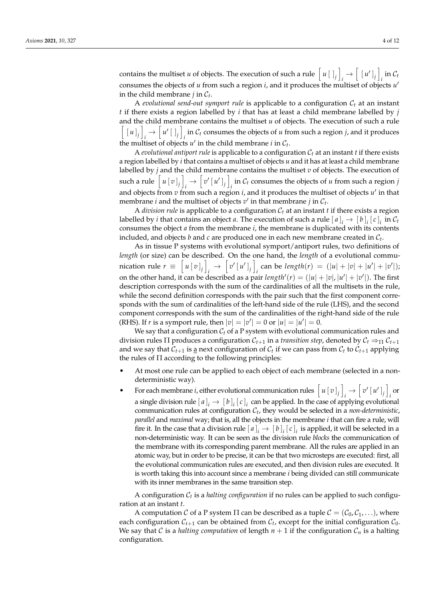contains the multiset *u* of objects. The execution of such a rule  $\left[ u \right]_j$  $\frac{1}{i}$   $\rightarrow$   $\left[$   $\left[$   $u'$   $\right]$ <sub>j</sub>  $\right]$  $\int_i$  in  $\mathcal{C}_t$ consumes the objects of *u* from such a region *i*, and it produces the multiset of objects *u* 0 in the child membrane  $j$  in  $C_t$ .

A *evolutional send-out symport rule* is applicable to a configuration C*<sup>t</sup>* at an instant *t* if there exists a region labelled by *i* that has at least a child membrane labelled by *j* and the child membrane contains the multiset *u* of objects. The execution of such a rule  $\left[ \begin{array}{c} [u]_j \end{array} \right]$  $\mu$ <sup> $\left[\mu'\right]$ </sup> $\left[\right]$ *i* in  $C_t$  consumes the objects of *u* from such a region *j*, and it produces the multiset of objects  $u'$  in the child membrane *i* in  $C_t$ .

A *evolutional antiport rule* is applicable to a configuration  $C_t$  at an instant  $t$  if there exists a region labelled by *i* that contains a multiset of objects *u* and it has at least a child membrane labelled by *j* and the child membrane contains the multiset *v* of objects. The execution of such a rule  $u[v]_j$  $\psi_i \to \left[ \left[ v' \left[ u' \right]_j \right] \right]$ *i* in  $C_t$  consumes the objects of *u* from such a region *j* and objects from *v* from such a region *i*, and it produces the multiset of objects *u'* in that membrane *i* and the multiset of objects  $v'$  in that membrane *j* in  $\mathcal{C}_t$ .

A *division rule* is applicable to a configuration  $C_t$  at an instant  $t$  if there exists a region labelled by *i* that contains an object *a*. The execution of such a rule  $[a]_i \rightarrow [b]_i [c]_i$  in  $\mathcal{C}_t$ consumes the object *a* from the membrane *i*, the membrane is duplicated with its contents included, and objects  $b$  and  $c$  are produced one in each new membrane created in  $\mathcal{C}_t$ .

As in tissue P systems with evolutional symport/antiport rules, two definitions of *length* (or size) can be described. On the one hand, the *length* of a evolutional communication rule  $r \equiv \left[ u \left[ v \right]_j \right]$  $\psi_i \rightarrow \left[ \left[ v' \left[ u' \right]_j \right] \right]$ *i*  $\alpha$  can be  $length(r) = (|u| + |v| + |u'| + |v'|);$ on the other hand, it can be described as a pair  $length'(r) = (|u| + |v|, |u'| + |v'|)$ . The first description corresponds with the sum of the cardinalities of all the multisets in the rule, while the second definition corresponds with the pair such that the first component corresponds with the sum of cardinalities of the left-hand side of the rule (LHS), and the second component corresponds with the sum of the cardinalities of the right-hand side of the rule (RHS). If *r* is a symport rule, then  $|v| = |v'| = 0$  or  $|u| = |u'| = 0$ .

We say that a configuration  $C_t$  of a P system with evolutional communication rules and division rules  $\Pi$  produces a configuration  $C_{t+1}$  in a *transition step*, denoted by  $C_t \Rightarrow_\Pi C_{t+1}$ and we say that  $C_{t+1}$  is <u>a</u> next configuration of  $C_t$  if we can pass from  $C_t$  to  $C_{t+1}$  applying the rules of  $\Pi$  according to the following principles:

- At most one rule can be applied to each object of each membrane (selected in a nondeterministic way).
- For each membrane *i*, either evolutional communication rules  $\left[ u \left[ v \right]_j \right]$  $\psi_i \rightarrow \left[ v' \left[ u' \right]_j \right]$ *i* or a single division rule  $[a]_i \rightarrow [b]_i[c]_i$  can be applied. In the case of applying evolutional communication rules at configuration C*<sup>t</sup>* , they would be selected in a *non-deterministic*, *parallel* and *maximal* way; that is, all the objects in the membrane *i* that can fire a rule, will fire it. In the case that a division rule  $[a]_i \to [b]_i [c]_i$  is applied, it will be selected in a non-deterministic way. It can be seen as the division rule *blocks* the communication of the membrane with its corresponding parent membrane. All the rules are applied in an atomic way, but in order to be precise, it can be that two microsteps are executed: first, all the evolutional communication rules are executed, and then division rules are executed. It is worth taking this into account since a membrane *i* being divided can still communicate with its inner membranes in the same transition step.

A configuration C*<sup>t</sup>* is a *halting configuration* if no rules can be applied to such configuration at an instant *t*.

A computation C of a P system  $\Pi$  can be described as a tuple  $C = (C_0, C_1, \ldots)$ , where each configuration  $C_{t+1}$  can be obtained from  $C_t$ , except for the initial configuration  $C_0$ . We say that C is a *halting computation* of length  $n + 1$  if the configuration  $C_n$  is a halting configuration.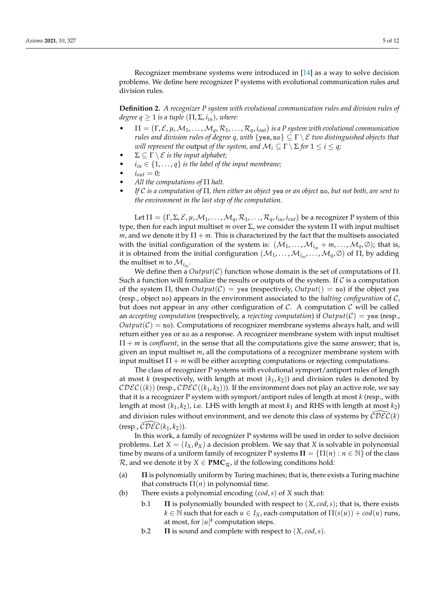Recognizer membrane systems were introduced in [\[14\]](#page-11-0) as a way to solve decision problems. We define here recognizer P systems with evolutional communication rules and division rules.

**Definition 2.** *A recognizer P system with evolutional communication rules and division rules of degree q*  $\geq$  1 *is a tuple* ( $\Pi$ ,  $\Sigma$ ,  $i_{in}$ ), where:

- $\bullet$   $\Pi = (\Gamma, \mathcal{E}, \mu, \mathcal{M}_1, \dots, \mathcal{M}_q, \mathcal{R}_1, \dots, \mathcal{R}_q, i_{out})$  is a P system with evolutional communication *rules and division rules of degree q, with*  $\{yes, no\} \subseteq \Gamma \setminus \mathcal{E}$  *two distinguished objects that will represent the* output *of the system, and*  $\mathcal{M}_i \subseteq \Gamma \setminus \Sigma$  *for*  $1 \leq i \leq q$ *;*
- $\Sigma \subseteq \Gamma \setminus \mathcal{E}$  *is the input alphabet;*
- $i_{in} \in \{1, \ldots, q\}$  *is the label of the input membrane;*
- $i_{out} = 0;$
- *All the computations of* Π *halt.*
- *If* C *is a computation of* Π*, then either an object* yes *or an object* no*, but not both, are sent to the environment in the last step of the computation.*

Let  $\Pi=(\Gamma,\Sigma,\mathcal{E},\mu,\mathcal{M}_1,\ldots,\mathcal{M}_q,\mathcal{R}_1,\ldots,\mathcal{R}_q,i_{in},i_{out})$  be a recognizer P system of this type, then for each input multiset *m* over Σ, we consider the system Π with input multiset *m*, and we denote it by  $\Pi + m$ . This is characterized by the fact that the multisets associated with the initial configuration of the system is:  $(\mathcal{M}_1, \ldots, \mathcal{M}_{i_{in}} + m, \ldots, \mathcal{M}_q, \emptyset)$ ; that is, it is obtained from the initial configuration  $(\mathcal{M}_1,\ldots,\mathcal{M}_{i_{in}},\ldots,\mathcal{M}_q,\varnothing)$  of  $\Pi$ , by adding the multiset *m* to  $\mathcal{M}_{i_{in}}$ .

We define then a *Output*(C) function whose domain is the set of computations of Π. Such a function will formalize the results or outputs of the system. If  $\mathcal C$  is a computation of the system  $\Pi$ , then  $Output(C) = \text{yes}$  (respectively,  $Output(C) = \text{no}$ ) if the object yes (resp., object no) appears in the environment associated to the *halting configuration* of C, but does not appear in any other configuration of  $\mathcal{C}$ . A computation  $\mathcal{C}$  will be called an *accepting computation* (respectively, a *rejecting computation*) if  $Output(C) = \text{yes}$  (resp.,  $Output(C) = no$ . Computations of recognizer membrane systems always halt, and will return either yes or no as a response. A recognizer membrane system with input multiset  $\Pi + m$  is *confluent*, in the sense that all the computations give the same answer; that is, given an input multiset *m*, all the computations of a recognizer membrane system with input multiset  $\Pi + m$  will be either accepting computations or rejecting computations.

The class of recognizer P systems with evolutional symport/antiport rules of length at most *k* (respectively, with length at most  $(k_1, k_2)$ ) and division rules is denoted by  $\mathcal{C}\mathcal{D}\mathcal{EC}((k))$  (resp.,  $\mathcal{C}\mathcal{D}\mathcal{EC}((k_1,k_2))$ ). If the environment does not play an active role, we say that it is a recognizer P system with symport/antiport rules of length at most *k* (resp., with length at most  $(k_1, k_2)$ , i.e. LHS with length at most  $k_1$  and RHS with length at most  $k_2$ ) and division rules without environment, and we denote this class of systems by  $\mathcal{CDEC}(\mathcal{k})$  $(\text{resp.}, \overline{CDEC}(k_1, k_2)).$ 

In this work, a family of recognizer P systems will be used in order to solve decision problems. Let  $X = (I_X, \theta_X)$  a decision problem. We say that *X* is solvable in polynomial time by means of a uniform family of recognizer P systems  $\Pi = {\Pi(n) : n \in \mathbb{N}}$  of the class  $\mathcal{R}$ , and we denote it by *X* ∈ **PMC**<sub> $\mathcal{R}$ , if the following conditions hold:</sub>

- (a) **Π** is polynomially uniform by Turing machines; that is, there exists a Turing machine that constructs  $\Pi(n)$  in polynomial time.
- (b) There exists a polynomial encoding (*cod*,*s*) of *X* such that:
	- b.1 **Π** is polynomially bounded with respect to (*X*, *cod*,*s*); that is, there exists  $k \in \mathbb{N}$  such that for each  $u \in I_X$ , each computation of  $\Pi(s(u)) + cod(u)$  runs, at most, for  $|u|^k$  computation steps.
	- b.2 **Π** is sound and complete with respect to (*X*, *cod*,*s*).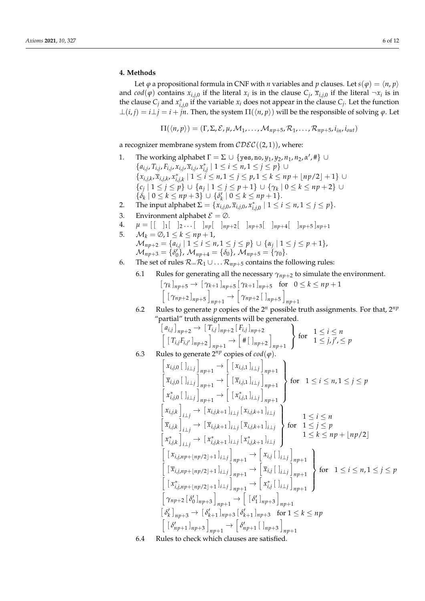# <span id="page-5-0"></span>**4. Methods**

Let  $\varphi$  a propositional formula in CNF with *n* variables and *p* clauses. Let  $s(\varphi) = \langle n, p \rangle$ and  $cod(\varphi)$  contains  $x_{i,j,0}$  if the literal  $x_i$  is in the clause  $C_j$ ,  $\overline{x}_{i,j,0}$  if the literal  $\neg x_i$  is in the clause  $C_j$  and  $x^*_{i,j,0}$  if the variable  $x_i$  does not appear in the clause  $C_j$ . Let the function  $\bot(i, j) = i \bot j = i + jn$ . Then, the system  $\Pi(\langle n, p \rangle)$  will be the responsible of solving  $\varphi$ . Let

$$
\Pi(\langle n,p\rangle)=(\Gamma,\Sigma,\mathcal{E},\mu,\mathcal{M}_1,\ldots,\mathcal{M}_{np+5},\mathcal{R}_1,\ldots,\mathcal{R}_{np+5},i_{in},i_{out})
$$

a recognizer membrane system from  $\mathcal{CDEC}((2,1))$ , where:

- 1. The working alphabet  $\Gamma = \Sigma \cup \{yes, no, y_1, y_2, n_1, n_2, \alpha', \#\} \cup$  ${a_{i,j}, T_{i,j}, F_{i,j}, x_{i,j}, \overline{x}_{i,j}, x_{i,j}^* \mid 1 ≤ i ≤ n, 1 ≤ j ≤ p}$  ∪  $\{x_{i,j,k}, \overline{x}_{i,j,k}, x_{i,j,k}^* \mid 1 \leq i \leq n, 1 \leq j \leq p, 1 \leq k \leq np + \lfloor np/2 \rfloor + 1\}$  ${c_j \mid 1 \le j \le p}$  ∪  ${a_j \mid 1 \le j \le p+1}$  ∪  ${x_k \mid 0 \le k \le np+2}$  ∪  $\{\delta_k \mid 0 \leq k \leq np + 3\}$   $\cup \{\delta_k' \mid 0 \leq k \leq np + 1\}.$
- 2. The input alphabet  $\Sigma = \{x_{i,j,0}, \overline{x}_{i,j,0}, x_{i,j,0}^* \mid 1 \le i \le n, 1 \le j \le p\}.$
- 3. Environment alphabet  $\mathcal{E} = \emptyset$ .
- 4.  $\mu = \begin{bmatrix} 1 & 1 \end{bmatrix} \begin{bmatrix} 1 & 0 \end{bmatrix}$ ...  $\begin{bmatrix} 1 & 0 \end{bmatrix}$   $\mu_{p}$   $\begin{bmatrix} 1 & 0 \end{bmatrix}$   $\mu_{p+2}$   $\begin{bmatrix} 1 & 0 \end{bmatrix}$   $\mu_{p+3}$   $\begin{bmatrix} 1 & 0 \end{bmatrix}$   $\mu_{p+4}$   $\begin{bmatrix} 1 & 0 \end{bmatrix}$   $\mu_{p+5}$   $\begin{bmatrix} 1 & 0 \end{bmatrix}$
- 5.  $\mathcal{M}_k = \emptyset$ ,  $1 \leq k \leq np + 1$ ,

$$
\mathcal{M}_{np+2} = \{a_{i,j} \mid 1 \leq i \leq n, 1 \leq j \leq p\} \cup \{\alpha_j \mid 1 \leq j \leq p+1\},
$$
  

$$
\mathcal{M}_{np+3} = \{\delta_0'\}, \mathcal{M}_{np+4} = \{\delta_0\}, \mathcal{M}_{np+5} = \{\gamma_0\}.
$$

- <span id="page-5-1"></span> $\mathcal{O}(n_p+3) = \sqrt{6} \int \mathcal{O}(n_p+4)$   $\mathcal{O}(n_p+5) = \sqrt{6} \int \mathcal{O}(n_p+5)$ <br>6. The set of rules  $\mathcal{R} = \mathcal{R}_1 \cup \dots \mathcal{R}_{np+5}$  contains the following rules:
	- 6.1 Rules for generating all the necessary  $\gamma_{np+2}$  to simulate the environment.

$$
[\gamma_k]_{np+5} \rightarrow [\gamma_{k+1}]_{np+5} [\gamma_{k+1}]_{np+5} \text{ for } 0 \le k \le np+1
$$
  

$$
[(\gamma_{np+2}]_{np+5}]_{np+1} \rightarrow [\gamma_{np+2}]_{np+5}]_{np+1}
$$

6.2 Rules to generate  $p$  copies of the  $2^n$  possible truth assignments. For that,  $2^{np}$ "partial" truth assignments will be generated.

$$
\begin{bmatrix} a_{i,j} \end{bmatrix}_{np+2} \rightarrow \begin{bmatrix} T_{i,j} \end{bmatrix}_{np+2} \begin{bmatrix} F_{i,j} \end{bmatrix}_{np+2}
$$
\n
$$
\begin{bmatrix} \begin{bmatrix} T_{i,j} F_{i,j'} \end{bmatrix}_{np+2} \end{bmatrix}_{np+1} \rightarrow \begin{bmatrix} # \begin{bmatrix} \end{bmatrix}_{np+2} \end{bmatrix}_{np+1}
$$
\nfor  $1 \leq i \leq n$   
\n
$$
1 \leq j, j', \leq p
$$

6.3 Rules to generate  $2^{np}$  copies of  $cod(\varphi)$ .

$$
\begin{aligned}\n\begin{bmatrix}\nx_{i,j,0} \end{bmatrix}\n\begin{bmatrix}\n\frac{1}{j+1} \end{bmatrix}_{np+1} &\to \begin{bmatrix}\n\frac{1}{j+1} \end{bmatrix}_{np+1} \\
\frac{1}{j+1} \end{bmatrix}_{np+1} &\to \begin{bmatrix}\n\frac{1}{j+1} \end{bmatrix}_{np+1} \\
\frac{1}{j+1} \end{bmatrix}_{np+1} &\to \begin{bmatrix}\n\frac{1}{j+1} \end{bmatrix}_{np+1} \\
\frac{1}{j+1} \end{bmatrix}_{np+1} &\text{for } 1 \leq i \leq n, 1 \leq j \leq p \\
\frac{1}{j+1} \end{aligned}
$$
\n
$$
\begin{aligned}\n\begin{bmatrix}\nx_{i,j,k} \end{bmatrix}_{i \perp j} &\to \begin{bmatrix}\n\frac{1}{j+1} \end{bmatrix}_{i \perp j} \begin{bmatrix}\n\frac{1}{j+1} \end{bmatrix}_{n+1} \\
\frac{1}{j+1} \end{bmatrix}_{i \perp j} &\to \begin{bmatrix}\n\frac{1}{j+1} \end{bmatrix}_{i \perp j} \begin{bmatrix}\n\frac{1}{j+1} \end{bmatrix}_{n+1} \\
\frac{1}{j+1} \end{bmatrix}_{n+1} &\text{for } 1 \leq j \leq p \\
\frac{1}{j+1} \end{aligned}
$$
\n
$$
\begin{aligned}\n\begin{bmatrix}\n\frac{1}{j+1} \end{bmatrix}_{i \perp j} &\to \begin{bmatrix}\n\frac{1}{j+1} \end{bmatrix}_{n+1} \\
\frac{1}{j+1} \end{bmatrix}_{n+1} &\to \begin{bmatrix}\n\frac{1}{j+1} \end{bmatrix}_{n+1} \\
\frac{1}{j+1} \end{bmatrix}_{n+1} &\to \begin{bmatrix}\n\frac{1}{j+1} \end{bmatrix}_{n+1} \\
\frac{1}{j+1} \end{aligned}
$$
\n
$$
\begin{aligned}\n\begin{bmatrix}\n\frac{1}{j+1} \end{bmatrix}_{i \perp j} &\to \begin{bmatrix}\n\frac{1}{j+1} \end{bmatrix}_{n+1} \\
\frac{1}{j+1} \end{aligned}
$$
\n
$$
\begin{aligned}\
$$

<span id="page-5-2"></span>

6.4 Rules to check which clauses are satisfied.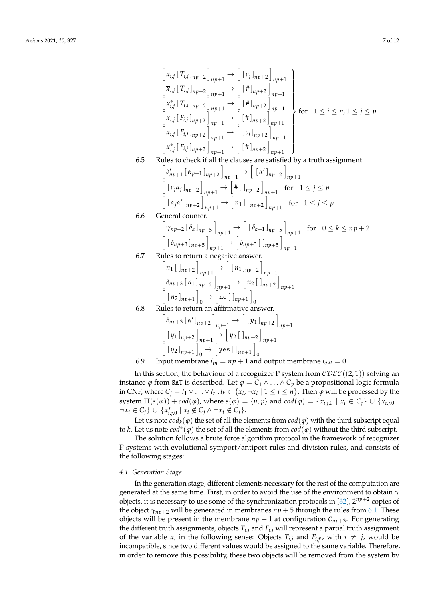$$
\begin{aligned}\n&\begin{bmatrix} x_{i,j} [T_{i,j}]_{np+2} \end{bmatrix}_{np+1} \rightarrow \begin{bmatrix} [c_{j}]_{np+2} \end{bmatrix}_{np+1} \\
&\begin{bmatrix} \overline{x}_{i,j} [T_{i,j}]_{np+2} \end{bmatrix}_{np+1} \rightarrow \begin{bmatrix} [H]_{np+2} \end{bmatrix}_{np+1} \\
&\begin{bmatrix} x_{i,j}^* [T_{i,j}]_{np+2} \end{bmatrix}_{np+1} \rightarrow \begin{bmatrix} [H]_{np+2} \end{bmatrix}_{np+1} \\
&\begin{bmatrix} x_{i,j} [F_{i,j}]_{np+2} \end{bmatrix}_{np+1} \rightarrow \begin{bmatrix} [H]_{np+2} \end{bmatrix}_{np+1} \\
&\begin{bmatrix} \overline{x}_{i,j} [F_{i,j}]_{np+2} \end{bmatrix}_{np+1} \rightarrow \begin{bmatrix} [c_{j}]_{np+2} \end{bmatrix}_{np+1} \\
&\begin{bmatrix} x_{i,j}^* [F_{i,j}]_{np+2} \end{bmatrix}_{np+1} \rightarrow \begin{bmatrix} [c_{j}]_{np+2} \end{bmatrix}_{np+1} \\
&\begin{bmatrix} x_{i,j}^* [F_{i,j}]_{np+2} \end{bmatrix}_{np+1} \rightarrow \begin{bmatrix} [H]_{np+2} \end{bmatrix}_{np+1} \\
&\begin{bmatrix} [c_{j}\alpha_{j}]_{np+2} \end{bmatrix}_{np+1} \rightarrow \begin{bmatrix} [a']_{np+2} \end{bmatrix}_{np+1} \\
&\begin{bmatrix} [c_{j}\alpha_{j}]_{np+2} \end{bmatrix}_{np+1} \rightarrow \begin{bmatrix} [H]_{np+2} \end{bmatrix}_{np+1} \text{ for } 1 \leq j \leq p \\
&\begin{bmatrix} [a_{j}\alpha']_{np+2} [a_{k}]_{np+2} \end{bmatrix}_{np+1} \rightarrow \begin{bmatrix} [A_{j}]_{np+2} \end{bmatrix}_{np+1} \text{ for } 1 \leq j \leq p \\
&\begin{bmatrix} [A_{j} \alpha_{j}]_{np+2} \end{bmatrix}_{np+1} \rightarrow \begin{bmatrix} [A_{j} \alpha_{j}]_{np+2} \end{bmatrix}_{np+1} \text{ for } 1 \leq j \leq p \\
&\begin{bmatrix} [A_{j} \alpha_{j}]_{np+2
$$

$$
\begin{bmatrix}\n\delta_{np+3} [\alpha']_{np+2} \big]_{np+1} \rightarrow \left[ \left[ y_1 \right]_{np+2} \right]_{np+1} \\
\left[ \left[ y_1 \right]_{np+2} \big]_{np+1} \rightarrow \left[ y_2 \left[ \left[ y_{n+2} \right] \right]_{np+1} \\
\left[ \left[ y_2 \right]_{np+1} \right]_0 \rightarrow \left[ \text{yes} \left[ \left[ \left[ y_{n+1} \right] \right]_0 \right]\n\end{bmatrix}
$$
\nInput membrane *i*,  $=$   $=$   $n + 1$  *and output*  $mp$ 

6.9 Input membrane  $i_{in} = np + 1$  and output membrane  $i_{out} = 0$ .

In this section, the behaviour of a recognizer P system from  $\mathcal{CDEC}((2,1))$  solving an instance  $\varphi$  from SAT is described. Let  $\varphi = C_1 \wedge ... \wedge C_p$  be a propositional logic formula in CNF, where  $C_j = l_1 \vee \ldots \vee l_{r_j}$ ,  $l_k \in \{x_i, \neg x_i \mid 1 \leq i \leq n\}$ . Then  $\varphi$  will be processed by the system  $\Pi(s(\varphi)) + cod(\varphi)$ , where  $s(\varphi) = \langle n, p \rangle$  and  $cod(\varphi) = \{x_{i,j,0} \mid x_i \in C_i\} \cup \{\overline{x}_{i,j,0}\}\$  $\neg x_i \in C_j$  ∪  $\{x_{i,j,0}^* \mid x_i \notin C_j \land \neg x_i \notin C_j\}.$ 

Let us note  $cod_k(\varphi)$  the set of all the elements from  $cod(\varphi)$  with the third subscript equal to *k*. Let us note *cod*<sup>∗</sup> (*ϕ*) the set of all the elements from *cod*(*ϕ*) without the third subscript.

The solution follows a brute force algorithm protocol in the framework of recognizer P systems with evolutional symport/antiport rules and division rules, and consists of the following stages:

## *4.1. Generation Stage*

In the generation stage, different elements necessary for the rest of the computation are generated at the same time. First, in order to avoid the use of the environment to obtain *γ* objects, it is necessary to use some of the synchronization protocols in [\[32\]](#page-11-13),  $2^{np+2}$  copies of the object  $\gamma_{np+2}$  will be generated in membranes  $np + 5$  through the rules from [6.1.](#page-5-1) These objects will be present in the membrane  $np + 1$  at configuration  $C_{np+3}$ . For generating the different truth assignments, objects *Ti*,*<sup>j</sup>* and *Fi*,*<sup>j</sup>* will represent a partial truth assignment of the variable  $x_i$  in the following sense: Objects  $T_{i,j}$  and  $F_{i,j'}$ , with  $i \neq j$ , would be incompatible, since two different values would be assigned to the same variable. Therefore, in order to remove this possibility, these two objects will be removed from the system by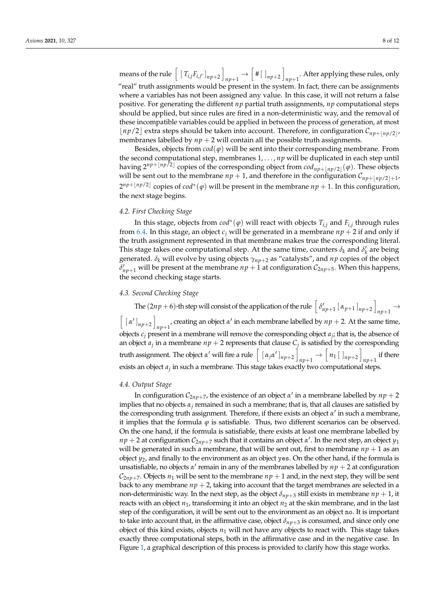means of the rule  $\left[ \left[T_{i,j}F_{i,j'}\right]_{np+2} \right]$  $_{np+1} \rightarrow [$  # [ ]<sub>np+2</sub> ] *np*+1 . After applying these rules, only "real" truth assignments would be present in the system. In fact, there can be assignments where a variables has not been assigned any value. In this case, it will not return a false positive. For generating the different *np* partial truth assignments, *np* computational steps should be applied, but since rules are fired in a non-deterministic way, and the removal of these incompatible variables could be applied in between the process of generation, at most  $\lfloor np/2 \rfloor$  extra steps should be taken into account. Therefore, in configuration  $\mathcal{C}_{np+\lfloor np/2 \rfloor}$ , membranes labelled by  $np + 2$  will contain all the possible truth assignments.

Besides, objects from  $\text{cod}(\varphi)$  will be sent into their corresponding membrane. From the second computational step, membranes 1, . . . , *np* will be duplicated in each step until having  $2^{np+\lfloor np/2\rfloor}$  copies of the corresponding object from  $cod_{np+\lfloor np/2\rfloor}(φ)$ . These objects will be sent out to the membrane  $np + 1$ , and therefore in the configuration  $\mathcal{C}_{np+\lfloor np/2\rfloor+1}$ ,  $2^{np+\lfloor np/2\rfloor}$  copies of  $cod^*(\varphi)$  will be present in the membrane  $np+1$ . In this configuration, the next stage begins.

## *4.2. First Checking Stage*

In this stage, objects from *cod*<sup>∗</sup> (*ϕ*) will react with objects *Ti*,*<sup>j</sup>* and *Fi*,*<sup>j</sup>* through rules from [6.4.](#page-5-2) In this stage, an object  $c_j$  will be generated in a membrane  $np + 2$  if and only if the truth assignment represented in that membrane makes true the corresponding literal. This stage takes one computational step. At the same time, counters  $\delta_k$  and  $\delta'_k$  are being generated. *δ<sup>k</sup>* will evolve by using objects *γnp*+<sup>2</sup> as "catalysts", and *np* copies of the object  $\delta'_{np+1}$  will be present at the membrane  $np+1$  at configuration  $C_{2np+5}$ . When this happens, the second checking stage starts.

#### *4.3. Second Checking Stage*

The  $(2np + 6)$ -th step will consist of the application of the rule  $\left[ \delta'_{np+1} \left[ \alpha_{p+1} \right]_{np+2} \right]$  $np+1 \rightarrow$  $\left[ \left[ \alpha' \right]_{np+2} \right]$ *np*+1' creating an object  $\alpha'$  in each membrane labelled by  $np + 2$ . At the same time, objects  $c_j$  present in a membrane will remove the corresponding object  $a_j$ ; that is, the absence of an object  $a_j$  in a membrane  $np + 2$  represents that clause  $C_j$  is satisfied by the corresponding truth assignment. The object  $\alpha'$  will fire a rule  $\left[ \begin{array}{c} [ \ \alpha_j \alpha' \ ]_{np+2} \end{array} \right]$  $_{np+1} \rightarrow [n_1 \, [ \, ]_{np+2}]$  $n p+1$  if there exists an object *a<sup>j</sup>* in such a membrane. This stage takes exactly two computational steps.

#### *4.4. Output Stage*

In configuration  $C_{2np+7}$ , the existence of an object  $\alpha'$  in a membrane labelled by  $np+2$ implies that no objects  $\alpha_j$  remained in such a membrane; that is, that all clauses are satisfied by the corresponding truth assignment. Therefore, if there exists an object  $\alpha'$  in such a membrane, it implies that the formula  $\varphi$  is satisfiable. Thus, two different scenarios can be observed. On the one hand, if the formula is satisfiable, there exists at least one membrane labelled by  $np + 2$  at configuration  $\mathcal{C}_{2np+7}$  such that it contains an object  $\alpha'$ . In the next step, an object  $y_1$ will be generated in such a membrane, that will be sent out, first to membrane  $np + 1$  as an object  $y_2$ , and finally to the environment as an object yes. On the other hand, if the formula is unsatisfiable, no objects  $\alpha'$  remain in any of the membranes labelled by  $np + 2$  at configuration  $\mathcal{C}_{2nn+7}$ . Objects  $n_1$  will be sent to the membrane  $np+1$  and, in the next step, they will be sent back to any membrane  $np + 2$ , taking into account that the target membranes are selected in a non-deterministic way. In the next step, as the object *δnp*+<sup>3</sup> still exists in membrane *np* + 1, it reacts with an object  $n_1$ , transforming it into an object  $n_2$  at the skin membrane, and in the last step of the configuration, it will be sent out to the environment as an object no. It is important to take into account that, in the affirmative case, object  $\delta_{np+3}$  is consumed, and since only one object of this kind exists, objects *n*<sup>1</sup> will not have any objects to react with. This stage takes exactly three computational steps, both in the affirmative case and in the negative case. In Figure [1,](#page-8-0) a graphical description of this process is provided to clarify how this stage works.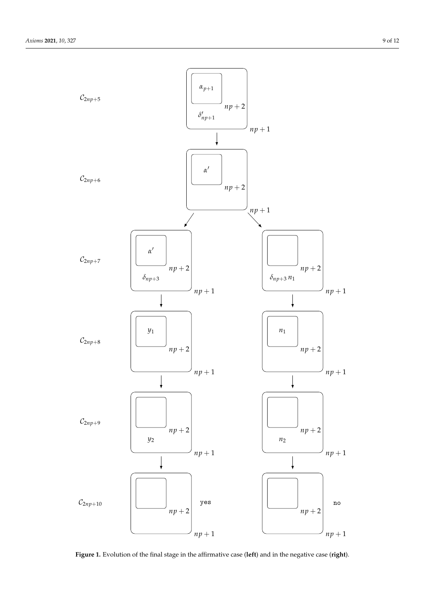<span id="page-8-0"></span>

**Figure 1.** Evolution of the final stage in the affirmative case (**left**) and in the negative case (**right**).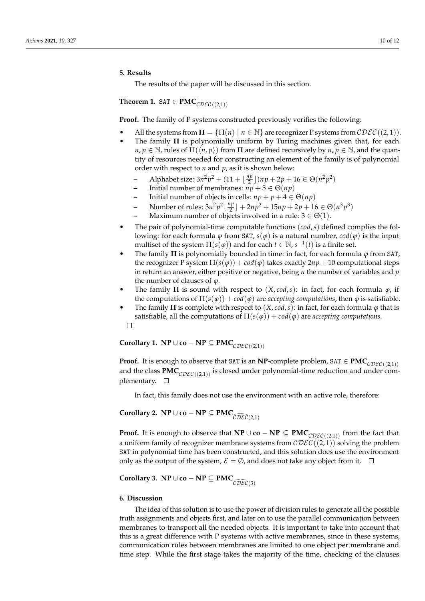#### <span id="page-9-0"></span>**5. Results**

The results of the paper will be discussed in this section.

**Theorem 1.** SAT  $\in$  **PMC**<sub>CDEC((2,1))</sub>

**Proof.** The family of P systems constructed previously verifies the following:

- All the systems from  $\Pi = {\Pi(n) | n \in \mathbb{N}}$  are recognizer P systems from  $\mathcal{CDEC}((2,1))$ .
- The family **Π** is polynomially uniform by Turing machines given that, for each *n*, *p*  $\in$  N, rules of  $\Pi(\langle n, p \rangle)$  from  $\Pi$  are defined recursively by *n*, *p*  $\in$  N, and the quantity of resources needed for constructing an element of the family is of polynomial order with respect to *n* and *p*, as it is shown below:
	- **–** Alphabet size:  $3n^2p^2 + (11 + \frac{np}{2})$  $\frac{np}{2}$ ])np + 2p + 16  $\in \Theta(n^2p^2)$
	- **Initial number of membranes:**  $np + 5 \in \Theta(np)$
	- Initial number of objects in cells:  $np + p + 4 \in \Theta(np)$
	- **–** Number of rules:  $3n^2p^2\left\lfloor \frac{np}{2} \right\rfloor$  $\left[\frac{np}{2}\right] + 2np^2 + 15np + 2p + 16 \in \Theta(n^3p^3)$
	- **Maximum number of objects involved in a rule:**  $3 \in \Theta(1)$ .
- The pair of polynomial-time computable functions (*cod*,*s*) defined complies the following: for each formula  $\varphi$  from SAT,  $s(\varphi)$  is a natural number,  $\text{cod}(\varphi)$  is the input multiset of the system  $\Pi(s(\varphi))$  and for each  $t \in \mathbb{N}$ ,  $s^{-1}(t)$  is a finite set.
- The family **Π** is polynomially bounded in time: in fact, for each formula *ϕ* from SAT, the recognizer P system  $\Pi(s(\varphi)) + cod(\varphi)$  takes exactly  $2np + 10$  computational steps in return an answer, either positive or negative, being *n* the number of variables and *p* the number of clauses of *ϕ*.
- The family  $\Pi$  is sound with respect to  $(X, cod, s)$ : in fact, for each formula  $\varphi$ , if the computations of  $\Pi(s(\varphi)) + cod(\varphi)$  are *accepting computations*, then  $\varphi$  is satisfiable.
- The family **Π** is complete with respect to  $(X, cod, s)$ : in fact, for each formula  $\varphi$  that is satisfiable, all the computations of  $\Pi(s(\varphi)) + cod(\varphi)$  are *accepting computations*.  $\Box$

**Corollary 1. NP** ∪ **co** − **NP**  $\subseteq$  **PMC**<sub>CDEC((2,1))</sub>

**Proof.** It is enough to observe that SAT is an **NP**-complete problem, SAT  $\in \text{PMC}_{\text{CDEC}((2,1))}$ and the class  $PMC_{CDEC(2,1))}$  is closed under polynomial-time reduction and under complementary.  $\square$ 

In fact, this family does not use the environment with an active role, therefore:

**Corollary 2.**  $\mathbf{NP} \cup \mathbf{co} - \mathbf{NP} \subseteq \mathbf{PMC}_{\widehat{\mathcal{CDEC}}(2,1)}$ 

**Proof.** It is enough to observe that **NP** ∪ **co** − **NP**  $\subseteq$  **PMC**<sub>CDEC((2,1))</sub> from the fact that a uniform family of recognizer membrane systems from  $\mathcal{CDEC}((2,1))$  solving the problem SAT in polynomial time has been constructed, and this solution does use the environment only as the output of the system,  $\mathcal{E} = \emptyset$ , and does not take any object from it.  $\square$ 

**Corollary 3.**  $\mathbf{NP} \cup \mathbf{co} - \mathbf{NP} \subseteq \mathbf{PMC}_{\widehat{\mathcal{CDEC}}(3)}$ 

## <span id="page-9-1"></span>**6. Discussion**

The idea of this solution is to use the power of division rules to generate all the possible truth assignments and objects first, and later on to use the parallel communication between membranes to transport all the needed objects. It is important to take into account that this is a great difference with P systems with active membranes, since in these systems, communication rules between membranes are limited to one object per membrane and time step. While the first stage takes the majority of the time, checking of the clauses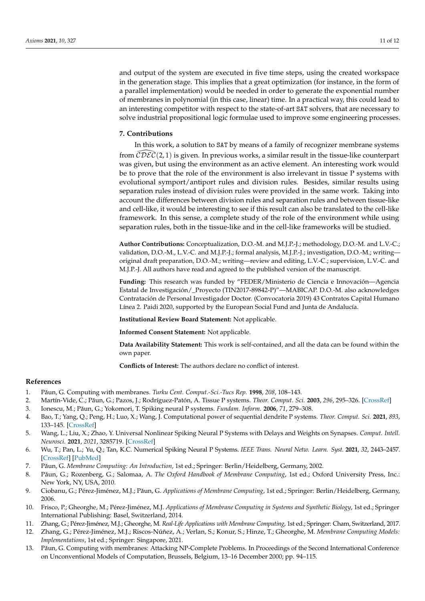and output of the system are executed in five time steps, using the created workspace in the generation stage. This implies that a great optimization (for instance, in the form of a parallel implementation) would be needed in order to generate the exponential number of membranes in polynomial (in this case, linear) time. In a practical way, this could lead to an interesting competitor with respect to the state-of-art SAT solvers, that are necessary to solve industrial propositional logic formulae used to improve some engineering processes.

## **7. Contributions**

In this work, a solution to SAT by means of a family of recognizer membrane systems from  $\mathcal{CDEC}(2, 1)$  is given. In previous works, a similar result in the tissue-like counterpart was given, but using the environment as an active element. An interesting work would be to prove that the role of the environment is also irrelevant in tissue P systems with evolutional symport/antiport rules and division rules. Besides, similar results using separation rules instead of division rules were provided in the same work. Taking into account the differences between division rules and separation rules and between tissue-like and cell-like, it would be interesting to see if this result can also be translated to the cell-like framework. In this sense, a complete study of the role of the environment while using separation rules, both in the tissue-like and in the cell-like frameworks will be studied.

**Author Contributions:** Conceptualization, D.O.-M. and M.J.P.-J.; methodology, D.O.-M. and L.V.-C.; validation, D.O.-M., L.V.-C. and M.J.P.-J.; formal analysis, M.J.P.-J.; investigation, D.O.-M.; writing original draft preparation, D.O.-M.; writing—review and editing, L.V.-C.; supervision, L.V.-C. and M.J.P.-J. All authors have read and agreed to the published version of the manuscript.

**Funding:** This research was funded by "FEDER/Ministerio de Ciencia e Innovación—Agencia Estatal de Investigación/\_Proyecto (TIN2017-89842-P)"—MABICAP. D.O.-M. also acknowledges Contratación de Personal Investigador Doctor. (Convocatoria 2019) 43 Contratos Capital Humano Línea 2. Paidi 2020, supported by the European Social Fund and Junta de Andalucía.

**Institutional Review Board Statement:** Not applicable.

**Informed Consent Statement:** Not applicable.

**Data Availability Statement:** This work is self-contained, and all the data can be found within the own paper.

**Conflicts of Interest:** The authors declare no conflict of interest.

## **References**

- <span id="page-10-0"></span>1. P ˘aun, G. Computing with membranes. *Turku Cent. Comput.-Sci.-Tucs Rep.* **1998**, *208*, 108–143.
- <span id="page-10-1"></span>2. Martín-Vide, C.; Păun, G.; Pazos, J.; Rodríguez-Patón, A. Tissue P systems. *Theor. Comput. Sci.* 2003, 296, 295–326. [\[CrossRef\]](http://doi.org/10.1016/S0304-3975(02)00659-X)
- <span id="page-10-2"></span>3. Ionescu, M.; Păun, G.; Yokomori, T. Spiking neural P systems. *Fundam. Inform.* **2006**, 71, 279–308.
- <span id="page-10-3"></span>4. Bao, T.; Yang, Q.; Peng, H.; Luo, X.; Wang, J. Computational power of sequential dendrite P systems. *Theor. Comput. Sci.* **2021**, *893*, 133–145. [\[CrossRef\]](http://dx.doi.org/10.1016/j.tcs.2021.08.008)
- 5. Wang, L.; Liu, X.; Zhao, Y. Universal Nonlinear Spiking Neural P Systems with Delays and Weights on Synapses. *Comput. Intell. Neurosci.* **2021**, *2021*, 3285719. [\[CrossRef\]](http://dx.doi.org/10.1155/2021/3285719)
- <span id="page-10-4"></span>6. Wu, T.; Pan, L.; Yu, Q.; Tan, K.C. Numerical Spiking Neural P Systems. *IEEE Trans. Neural Netw. Learn. Syst.* **2021**, *32*, 2443–2457. [\[CrossRef\]](http://dx.doi.org/10.1109/TNNLS.2020.3005538) [\[PubMed\]](http://www.ncbi.nlm.nih.gov/pubmed/32649281)
- <span id="page-10-5"></span>7. Păun, G. Membrane Computing: An Introduction, 1st ed.; Springer: Berlin/Heidelberg, Germany, 2002.
- <span id="page-10-6"></span>8. Păun, G.; Rozenberg, G.; Salomaa, A. *The Oxford Handbook of Membrane Computing*, 1st ed.; Oxford University Press, Inc.: New York, NY, USA, 2010.
- <span id="page-10-7"></span>9. Ciobanu, G.; Pérez-Jiménez, M.J.; Păun, G. *Applications of Membrane Computing*, 1st ed.; Springer: Berlin/Heidelberg, Germany, 2006.
- 10. Frisco, P.; Gheorghe, M.; Pérez-Jiménez, M.J. *Applications of Membrane Computing in Systems and Synthetic Biology*, 1st ed.; Springer International Publishing: Basel, Switzerland, 2014.
- <span id="page-10-8"></span>11. Zhang, G.; Pérez-Jiménez, M.J.; Gheorghe, M. *Real-Life Applications with Membrane Computing*, 1st ed.; Springer: Cham, Switzerland, 2017.
- <span id="page-10-9"></span>12. Zhang, G.; Pérez-Jiménez, M.J.; Riscos-Núñez, A.; Verlan, S.; Konur, S.; Hinze, T.; Gheorghe, M. *Membrane Computing Models: Implementations*, 1st ed.; Springer: Singapore, 2021.
- <span id="page-10-10"></span>13. Păun, G. Computing with membranes: Attacking NP-Complete Problems. In Proceedings of the Second International Conference on Unconventional Models of Computation, Brussels, Belgium, 13–16 December 2000; pp. 94–115.